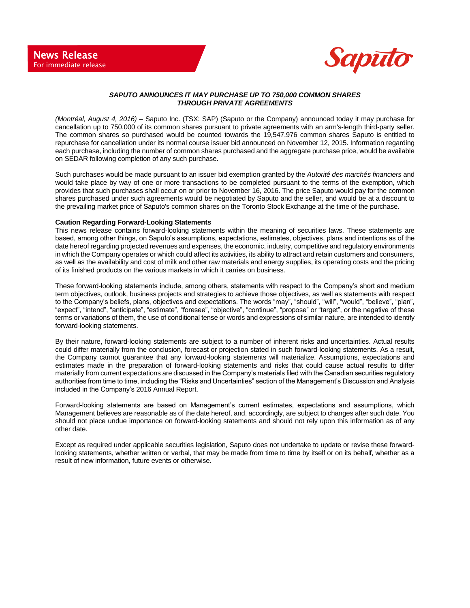

## *SAPUTO ANNOUNCES IT MAY PURCHASE UP TO 750,000 COMMON SHARES THROUGH PRIVATE AGREEMENTS*

*(Montréal, August 4, 2016) –* Saputo Inc. (TSX: SAP) (Saputo or the Company) announced today it may purchase for cancellation up to 750,000 of its common shares pursuant to private agreements with an arm's-length third-party seller. The common shares so purchased would be counted towards the 19,547,976 common shares Saputo is entitled to repurchase for cancellation under its normal course issuer bid announced on November 12, 2015. Information regarding each purchase, including the number of common shares purchased and the aggregate purchase price, would be available on SEDAR following completion of any such purchase.

Such purchases would be made pursuant to an issuer bid exemption granted by the *Autorité des marchés financiers* and would take place by way of one or more transactions to be completed pursuant to the terms of the exemption, which provides that such purchases shall occur on or prior to November 16, 2016. The price Saputo would pay for the common shares purchased under such agreements would be negotiated by Saputo and the seller, and would be at a discount to the prevailing market price of Saputo's common shares on the Toronto Stock Exchange at the time of the purchase.

## **Caution Regarding Forward-Looking Statements**

This news release contains forward-looking statements within the meaning of securities laws. These statements are based, among other things, on Saputo's assumptions, expectations, estimates, objectives, plans and intentions as of the date hereof regarding projected revenues and expenses, the economic, industry, competitive and regulatory environments in which the Company operates or which could affect its activities, its ability to attract and retain customers and consumers, as well as the availability and cost of milk and other raw materials and energy supplies, its operating costs and the pricing of its finished products on the various markets in which it carries on business.

These forward-looking statements include, among others, statements with respect to the Company's short and medium term objectives, outlook, business projects and strategies to achieve those objectives, as well as statements with respect to the Company's beliefs, plans, objectives and expectations. The words "may", "should", "will", "would", "believe", "plan", "expect", "intend", "anticipate", "estimate", "foresee", "objective", "continue", "propose" or "target", or the negative of these terms or variations of them, the use of conditional tense or words and expressions of similar nature, are intended to identify forward-looking statements.

By their nature, forward-looking statements are subject to a number of inherent risks and uncertainties. Actual results could differ materially from the conclusion, forecast or projection stated in such forward-looking statements. As a result, the Company cannot guarantee that any forward-looking statements will materialize. Assumptions, expectations and estimates made in the preparation of forward-looking statements and risks that could cause actual results to differ materially from current expectations are discussed in the Company's materials filed with the Canadian securities regulatory authorities from time to time, including the "Risks and Uncertainties" section of the Management's Discussion and Analysis included in the Company's 2016 Annual Report.

Forward-looking statements are based on Management's current estimates, expectations and assumptions, which Management believes are reasonable as of the date hereof, and, accordingly, are subject to changes after such date. You should not place undue importance on forward-looking statements and should not rely upon this information as of any other date.

Except as required under applicable securities legislation, Saputo does not undertake to update or revise these forwardlooking statements, whether written or verbal, that may be made from time to time by itself or on its behalf, whether as a result of new information, future events or otherwise.